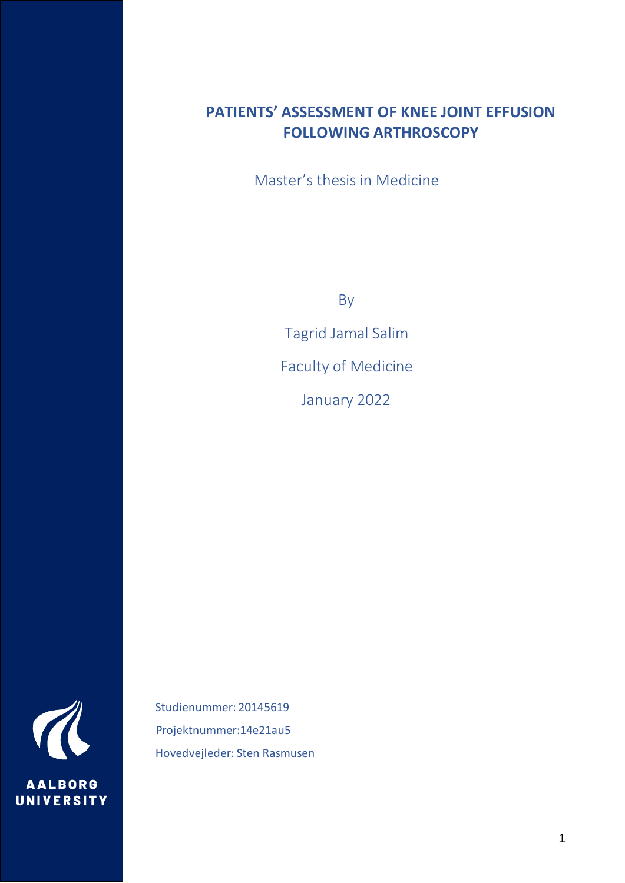# **PATIENTS' ASSESSMENT OF KNEE JOINT EFFUSION FOLLOWING ARTHROSCOPY**

Master's thesis in Medicine

By

Tagrid Jamal Salim Faculty of Medicine January 2022

**AALBORG UNIVERSITY** 

 Studienummer: 20145619 Projektnummer:14e21au5 Hovedvejleder: Sten Rasmusen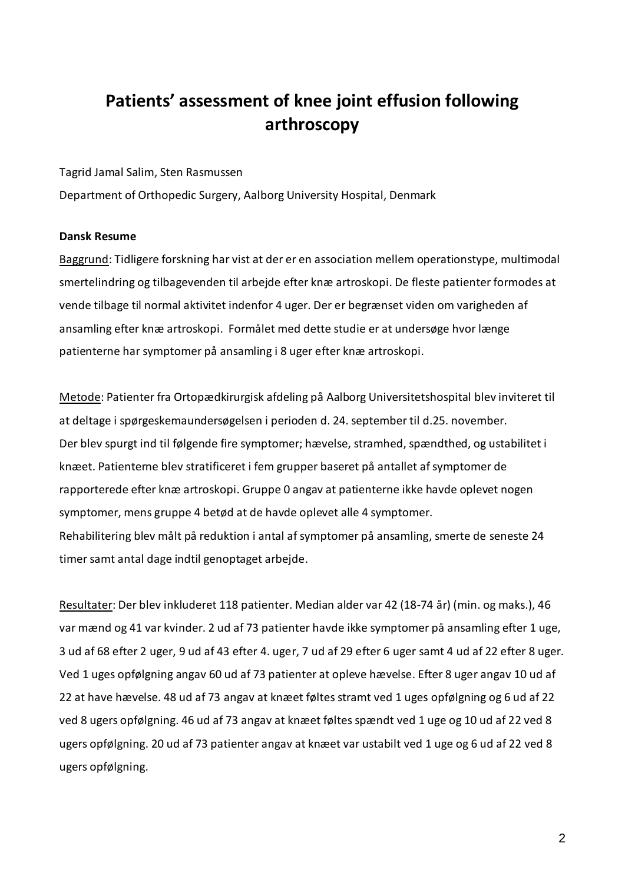# **Patients' assessment of knee joint effusion following arthroscopy**

Tagrid Jamal Salim, Sten Rasmussen

Department of Orthopedic Surgery, Aalborg University Hospital, Denmark

### **Dansk Resume**

Baggrund: Tidligere forskning har vist at der er en association mellem operationstype, multimodal smertelindring og tilbagevenden til arbejde efter knæ artroskopi. De fleste patienter formodes at vende tilbage til normal aktivitet indenfor 4 uger. Der er begrænset viden om varigheden af ansamling efter knæ artroskopi. Formålet med dette studie er at undersøge hvor længe patienterne har symptomer på ansamling i 8 uger efter knæ artroskopi.

Metode: Patienter fra Ortopædkirurgisk afdeling på Aalborg Universitetshospital blev inviteret til at deltage i spørgeskemaundersøgelsen i perioden d. 24. september til d.25. november. Der blev spurgt ind til følgende fire symptomer; hævelse, stramhed, spændthed, og ustabilitet i knæet. Patienterne blev stratificeret i fem grupper baseret på antallet af symptomer de rapporterede efter knæ artroskopi. Gruppe 0 angav at patienterne ikke havde oplevet nogen symptomer, mens gruppe 4 betød at de havde oplevet alle 4 symptomer. Rehabilitering blev målt på reduktion i antal af symptomer på ansamling, smerte de seneste 24 timer samt antal dage indtil genoptaget arbejde.

Resultater: Der blev inkluderet 118 patienter. Median alder var 42 (18-74 år) (min. og maks.), 46 var mænd og 41 var kvinder. 2 ud af 73 patienter havde ikke symptomer på ansamling efter 1 uge, 3 ud af 68 efter 2 uger, 9 ud af 43 efter 4. uger, 7 ud af 29 efter 6 uger samt 4 ud af 22 efter 8 uger. Ved 1 uges opfølgning angav 60 ud af 73 patienter at opleve hævelse. Efter 8 uger angav 10 ud af 22 at have hævelse. 48 ud af 73 angav at knæet føltes stramt ved 1 uges opfølgning og 6 ud af 22 ved 8 ugers opfølgning. 46 ud af 73 angav at knæet føltes spændt ved 1 uge og 10 ud af 22 ved 8 ugers opfølgning. 20 ud af 73 patienter angav at knæet var ustabilt ved 1 uge og 6 ud af 22 ved 8 ugers opfølgning.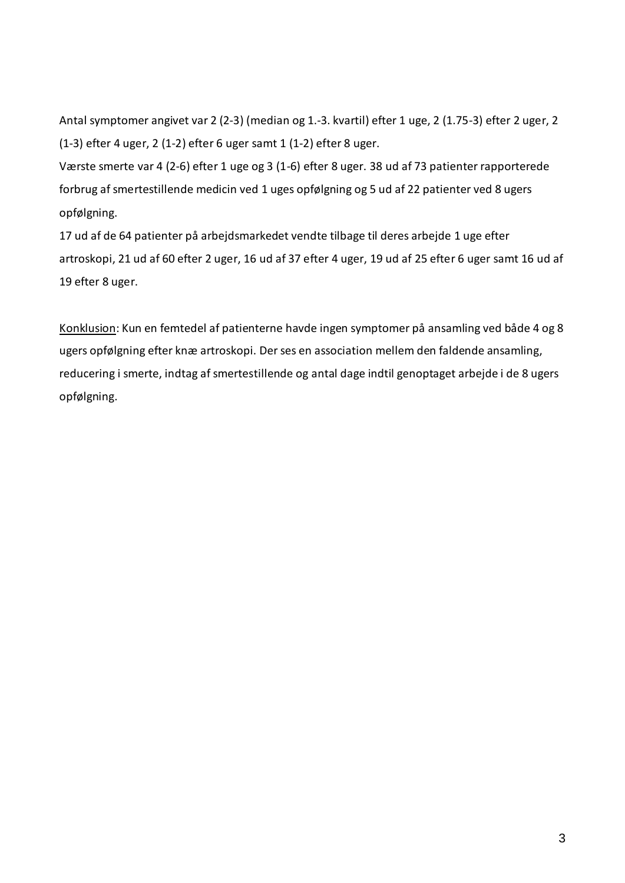Antal symptomer angivet var 2 (2-3) (median og 1.-3. kvartil) efter 1 uge, 2 (1.75-3) efter 2 uger, 2 (1-3) efter 4 uger, 2 (1-2) efter 6 uger samt 1 (1-2) efter 8 uger.

Værste smerte var 4 (2-6) efter 1 uge og 3 (1-6) efter 8 uger. 38 ud af 73 patienter rapporterede forbrug af smertestillende medicin ved 1 uges opfølgning og 5 ud af 22 patienter ved 8 ugers opfølgning.

17 ud af de 64 patienter på arbejdsmarkedet vendte tilbage til deres arbejde 1 uge efter artroskopi, 21 ud af 60 efter 2 uger, 16 ud af 37 efter 4 uger, 19 ud af 25 efter 6 uger samt 16 ud af 19 efter 8 uger.

Konklusion: Kun en femtedel af patienterne havde ingen symptomer på ansamling ved både 4 og 8 ugers opfølgning efter knæ artroskopi. Der ses en association mellem den faldende ansamling, reducering i smerte, indtag af smertestillende og antal dage indtil genoptaget arbejde i de 8 ugers opfølgning.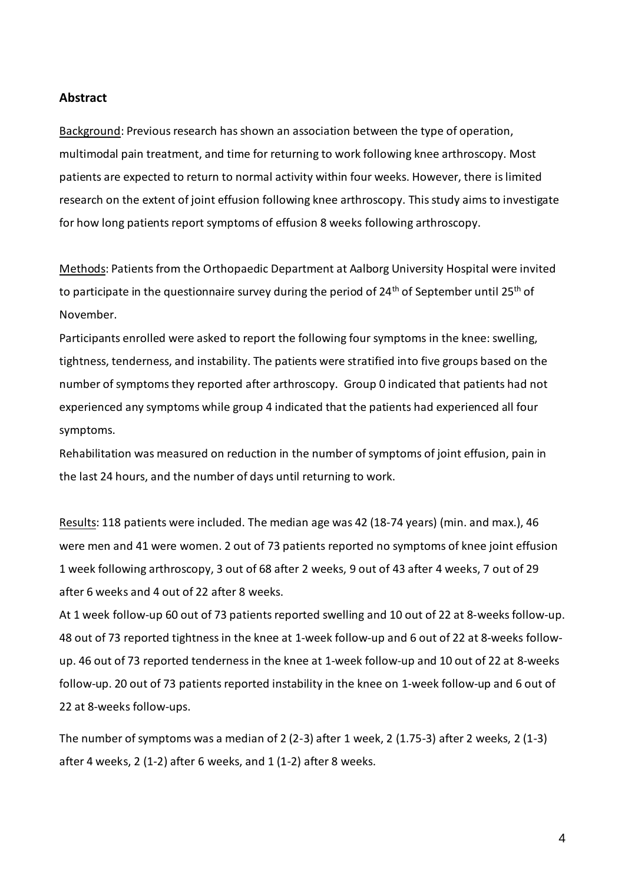### **Abstract**

Background: Previous research has shown an association between the type of operation, multimodal pain treatment, and time for returning to work following knee arthroscopy. Most patients are expected to return to normal activity within four weeks. However, there is limited research on the extent of joint effusion following knee arthroscopy. This study aims to investigate for how long patients report symptoms of effusion 8 weeks following arthroscopy.

Methods: Patients from the Orthopaedic Department at Aalborg University Hospital were invited to participate in the questionnaire survey during the period of  $24<sup>th</sup>$  of September until  $25<sup>th</sup>$  of November.

Participants enrolled were asked to report the following four symptoms in the knee: swelling, tightness, tenderness, and instability. The patients were stratified into five groups based on the number of symptoms they reported after arthroscopy. Group 0 indicated that patients had not experienced any symptoms while group 4 indicated that the patients had experienced all four symptoms.

Rehabilitation was measured on reduction in the number of symptoms of joint effusion, pain in the last 24 hours, and the number of days until returning to work.

Results: 118 patients were included. The median age was 42 (18-74 years) (min. and max.), 46 were men and 41 were women. 2 out of 73 patients reported no symptoms of knee joint effusion 1 week following arthroscopy, 3 out of 68 after 2 weeks, 9 out of 43 after 4 weeks, 7 out of 29 after 6 weeks and 4 out of 22 after 8 weeks.

At 1 week follow-up 60 out of 73 patients reported swelling and 10 out of 22 at 8-weeks follow-up. 48 out of 73 reported tightness in the knee at 1-week follow-up and 6 out of 22 at 8-weeks followup. 46 out of 73 reported tenderness in the knee at 1-week follow-up and 10 out of 22 at 8-weeks follow-up. 20 out of 73 patients reported instability in the knee on 1-week follow-up and 6 out of 22 at 8-weeks follow-ups.

The number of symptoms was a median of 2 (2-3) after 1 week, 2 (1.75-3) after 2 weeks, 2 (1-3) after 4 weeks, 2 (1-2) after 6 weeks, and 1 (1-2) after 8 weeks.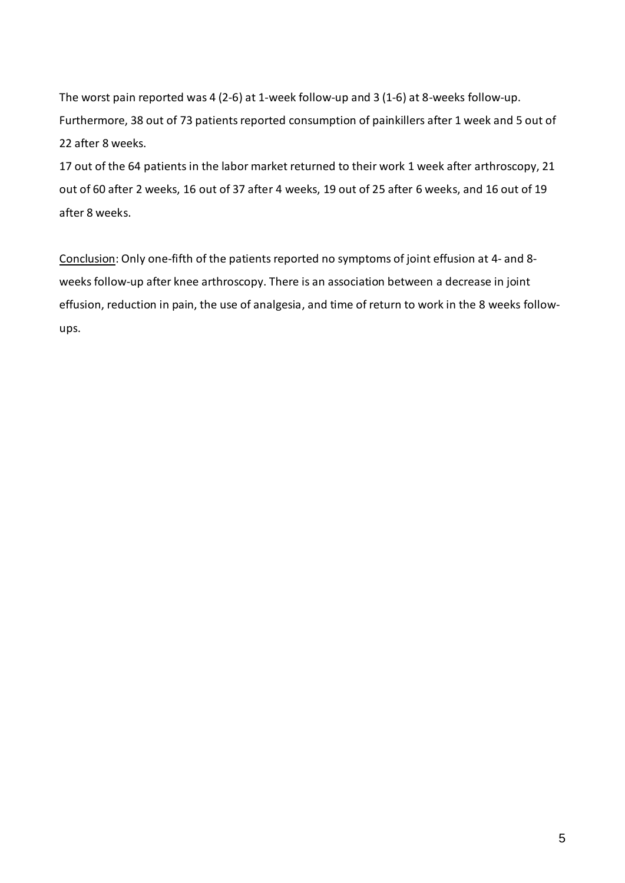The worst pain reported was 4 (2-6) at 1-week follow-up and 3 (1-6) at 8-weeks follow-up. Furthermore, 38 out of 73 patients reported consumption of painkillers after 1 week and 5 out of 22 after 8 weeks.

17 out of the 64 patients in the labor market returned to their work 1 week after arthroscopy, 21 out of 60 after 2 weeks, 16 out of 37 after 4 weeks, 19 out of 25 after 6 weeks, and 16 out of 19 after 8 weeks.

Conclusion: Only one-fifth of the patients reported no symptoms of joint effusion at 4- and 8 weeks follow-up after knee arthroscopy. There is an association between a decrease in joint effusion, reduction in pain, the use of analgesia, and time of return to work in the 8 weeks followups.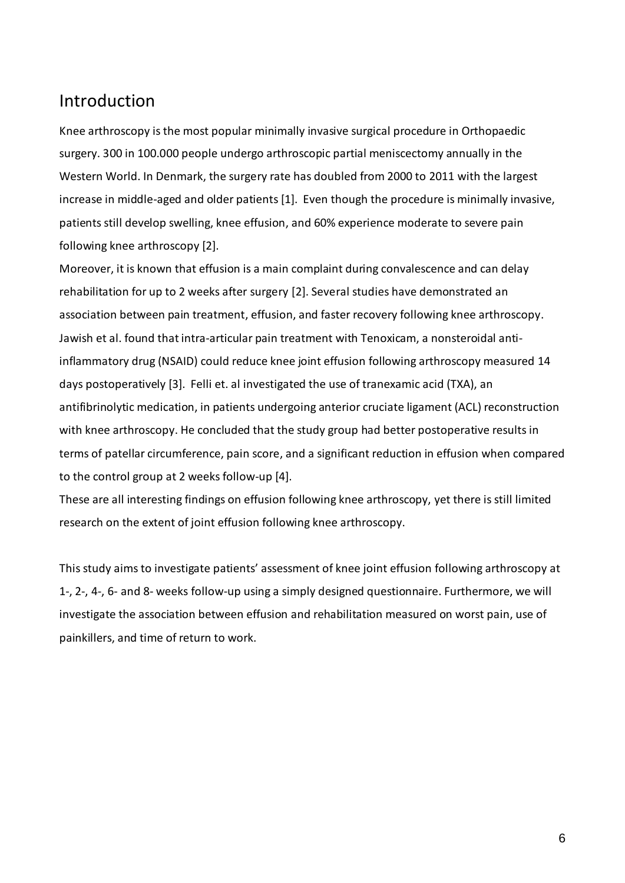# Introduction

Knee arthroscopy is the most popular minimally invasive surgical procedure in Orthopaedic surgery. 300 in 100.000 people undergo arthroscopic partial meniscectomy annually in the Western World. In Denmark, the surgery rate has doubled from 2000 to 2011 with the largest increase in middle-aged and older patients[1]. Even though the procedure is minimally invasive, patients still develop swelling, knee effusion, and 60% experience moderate to severe pain following knee arthroscopy [2].

Moreover, it is known that effusion is a main complaint during convalescence and can delay rehabilitation for up to 2 weeks after surgery [2]. Several studies have demonstrated an association between pain treatment, effusion, and faster recovery following knee arthroscopy. Jawish et al. found that intra-articular pain treatment with Tenoxicam, a nonsteroidal antiinflammatory drug (NSAID) could reduce knee joint effusion following arthroscopy measured 14 days postoperatively [3]. Felli et. al investigated the use of tranexamic acid (TXA), an antifibrinolytic medication, in patients undergoing anterior cruciate ligament (ACL) reconstruction with knee arthroscopy. He concluded that the study group had better postoperative results in terms of patellar circumference, pain score, and a significant reduction in effusion when compared to the control group at 2 weeks follow-up [4].

These are all interesting findings on effusion following knee arthroscopy, yet there is still limited research on the extent of joint effusion following knee arthroscopy.

This study aims to investigate patients' assessment of knee joint effusion following arthroscopy at 1-, 2-, 4-, 6- and 8- weeks follow-up using a simply designed questionnaire. Furthermore, we will investigate the association between effusion and rehabilitation measured on worst pain, use of painkillers, and time of return to work.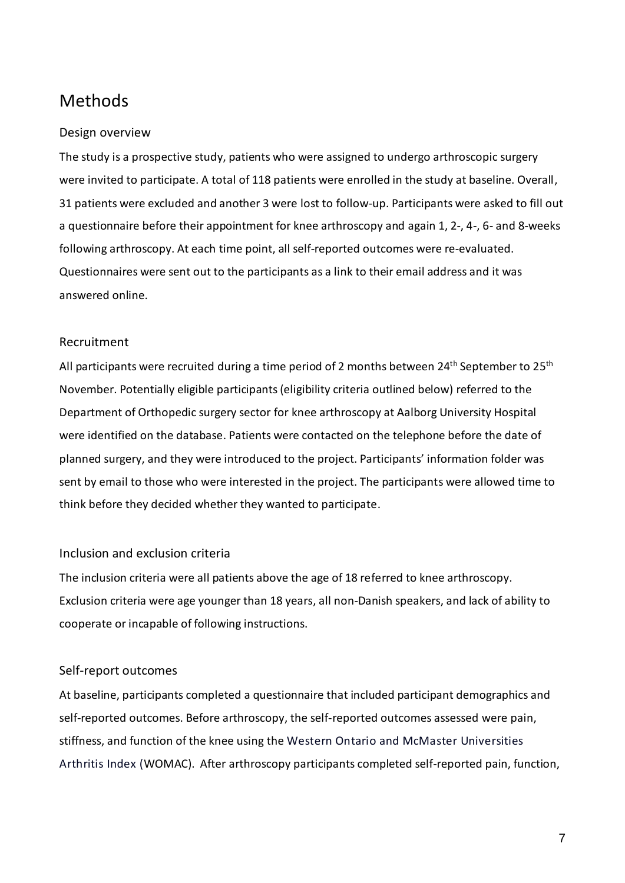# Methods

# Design overview

The study is a prospective study, patients who were assigned to undergo arthroscopic surgery were invited to participate. A total of 118 patients were enrolled in the study at baseline. Overall, 31 patients were excluded and another 3 were lost to follow-up. Participants were asked to fill out a questionnaire before their appointment for knee arthroscopy and again 1, 2-, 4-, 6- and 8-weeks following arthroscopy. At each time point, all self-reported outcomes were re-evaluated. Questionnaires were sent out to the participants as a link to their email address and it was answered online.

# Recruitment

All participants were recruited during a time period of 2 months between  $24<sup>th</sup>$  September to  $25<sup>th</sup>$ November. Potentially eligible participants (eligibility criteria outlined below) referred to the Department of Orthopedic surgery sector for knee arthroscopy at Aalborg University Hospital were identified on the database. Patients were contacted on the telephone before the date of planned surgery, and they were introduced to the project. Participants' information folder was sent by email to those who were interested in the project. The participants were allowed time to think before they decided whether they wanted to participate.

### Inclusion and exclusion criteria

The inclusion criteria were all patients above the age of 18 referred to knee arthroscopy. Exclusion criteria were age younger than 18 years, all non-Danish speakers, and lack of ability to cooperate or incapable of following instructions.

### Self-report outcomes

At baseline, participants completed a questionnaire that included participant demographics and self-reported outcomes. Before arthroscopy, the self-reported outcomes assessed were pain, stiffness, and function of the knee using the Western Ontario and McMaster Universities Arthritis Index (WOMAC). After arthroscopy participants completed self-reported pain, function,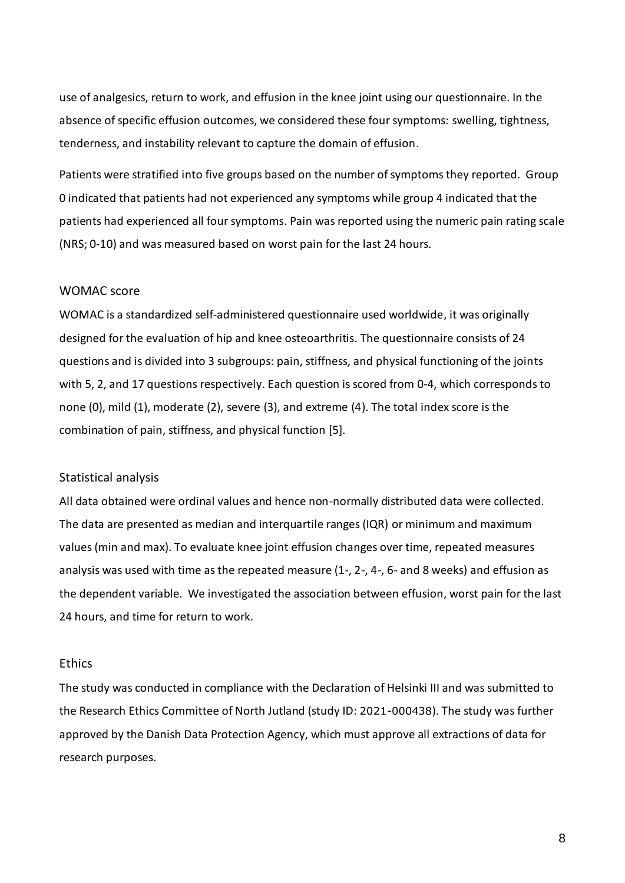use of analgesics, return to work, and effusion in the knee joint using our questionnaire. In the absence of specific effusion outcomes, we considered these four symptoms: swelling, tightness, tenderness, and instability relevant to capture the domain of effusion.

Patients were stratified into five groups based on the number of symptoms they reported. Group 0 indicated that patients had not experienced any symptoms while group 4 indicated that the patients had experienced all four symptoms. Pain was reported using the numeric pain rating scale (NRS; 0-10) and was measured based on worst pain for the last 24 hours.

#### WOMAC score

WOMAC is a standardized self-administered questionnaire used worldwide, it was originally designed for the evaluation of hip and knee osteoarthritis. The questionnaire consists of 24 questions and is divided into 3 subgroups: pain, stiffness, and physical functioning of the joints with 5, 2, and 17 questions respectively. Each question is scored from 0-4, which corresponds to none (0), mild (1), moderate (2), severe (3), and extreme (4). The total index score is the combination of pain, stiffness, and physical function [5].

#### Statistical analysis

All data obtained were ordinal values and hence non-normally distributed data were collected. The data are presented as median and interquartile ranges (IQR) or minimum and maximum values (min and max). To evaluate knee joint effusion changes over time, repeated measures analysis was used with time as the repeated measure (1-, 2-, 4-, 6- and 8 weeks) and effusion as the dependent variable. We investigated the association between effusion, worst pain for the last 24 hours, and time for return to work.

#### **Ethics**

The study was conducted in compliance with the Declaration of Helsinki III and was submitted to the Research Ethics Committee of North Jutland (study ID: 2021-000438). The study was further approved by the Danish Data Protection Agency, which must approve all extractions of data for research purposes.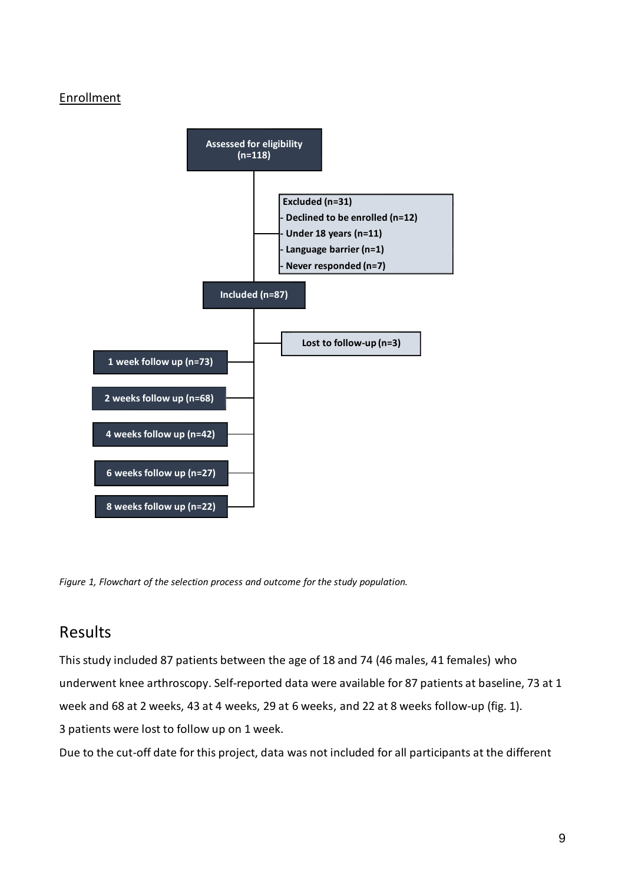# Enrollment



*Figure 1, Flowchart of the selection process and outcome for the study population.*

# Results

This study included 87 patients between the age of 18 and 74 (46 males, 41 females) who underwent knee arthroscopy. Self-reported data were available for 87 patients at baseline, 73 at 1 week and 68 at 2 weeks, 43 at 4 weeks, 29 at 6 weeks, and 22 at 8 weeks follow-up (fig. 1). 3 patients were lost to follow up on 1 week.

Due to the cut-off date for this project, data was not included for all participants at the different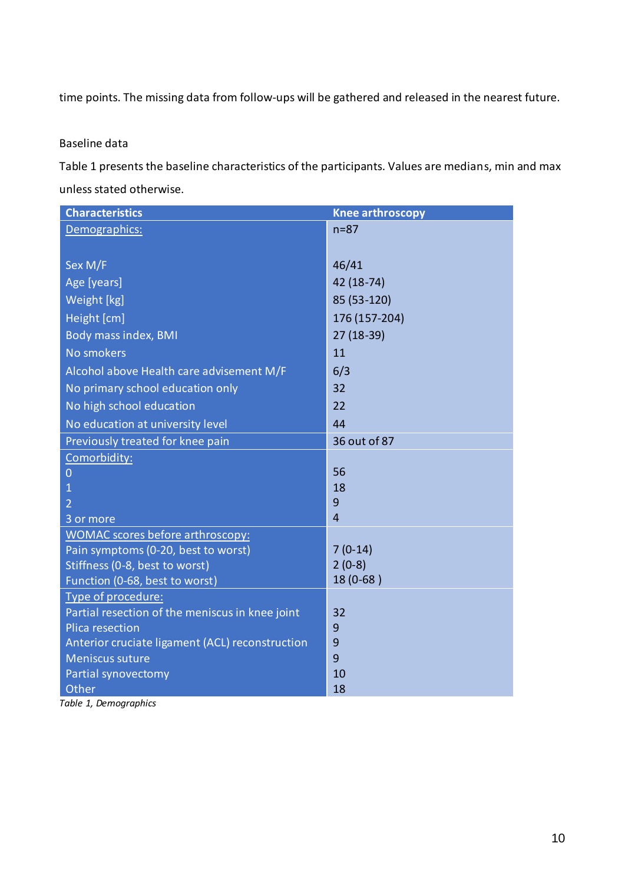time points. The missing data from follow-ups will be gathered and released in the nearest future.

### Baseline data

Table 1 presents the baseline characteristics of the participants. Values are medians, min and max unless stated otherwise.

| <b>Characteristics</b>                          | <b>Knee arthroscopy</b> |
|-------------------------------------------------|-------------------------|
| Demographics:                                   | $n = 87$                |
|                                                 |                         |
| Sex M/F                                         | 46/41                   |
| Age [years]                                     | 42 (18-74)              |
| Weight [kg]                                     | 85 (53-120)             |
| Height [cm]                                     | 176 (157-204)           |
| Body mass index, BMI                            | 27 (18-39)              |
| <b>No smokers</b>                               | 11                      |
| Alcohol above Health care advisement M/F        | 6/3                     |
| No primary school education only                | 32                      |
| No high school education                        | 22                      |
| No education at university level                | 44                      |
| Previously treated for knee pain                | 36 out of 87            |
| Comorbidity:                                    |                         |
| 0                                               | 56                      |
| 1                                               | 18                      |
| $\overline{2}$                                  | 9                       |
| 3 or more                                       | $\overline{4}$          |
| WOMAC scores before arthroscopy:                |                         |
| Pain symptoms (0-20, best to worst)             | $7(0-14)$               |
| Stiffness (0-8, best to worst)                  | $2(0-8)$                |
| Function (0-68, best to worst)                  | 18 (0-68)               |
| Type of procedure:                              |                         |
| Partial resection of the meniscus in knee joint | 32                      |
| <b>Plica resection</b>                          | 9                       |
| Anterior cruciate ligament (ACL) reconstruction | 9                       |
| <b>Meniscus suture</b>                          | 9                       |
| Partial synovectomy                             | 10                      |
| Other                                           | 18                      |

*Table 1, Demographics*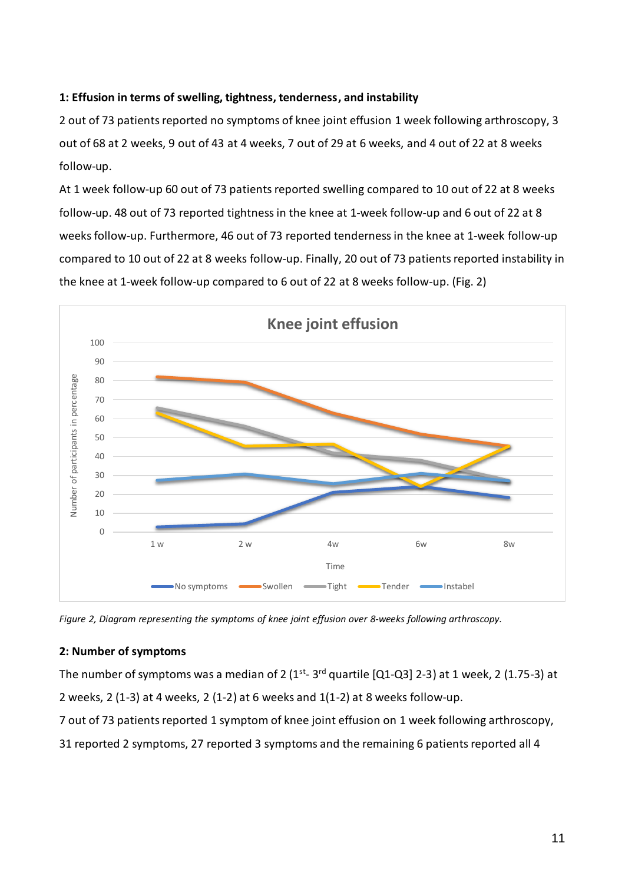# **1: Effusion in terms of swelling, tightness, tenderness, and instability**

2 out of 73 patients reported no symptoms of knee joint effusion 1 week following arthroscopy, 3 out of 68 at 2 weeks, 9 out of 43 at 4 weeks, 7 out of 29 at 6 weeks, and 4 out of 22 at 8 weeks follow-up.

At 1 week follow-up 60 out of 73 patients reported swelling compared to 10 out of 22 at 8 weeks follow-up. 48 out of 73 reported tightness in the knee at 1-week follow-up and 6 out of 22 at 8 weeks follow-up. Furthermore, 46 out of 73 reported tenderness in the knee at 1-week follow-up compared to 10 out of 22 at 8 weeks follow-up. Finally, 20 out of 73 patients reported instability in the knee at 1-week follow-up compared to 6 out of 22 at 8 weeks follow-up. (Fig. 2)



*Figure 2, Diagram representing the symptoms of knee joint effusion over 8-weeks following arthroscopy.*

### **2: Number of symptoms**

The number of symptoms was a median of 2 (1<sup>st</sup>- 3<sup>rd</sup> quartile [Q1-Q3] 2-3) at 1 week, 2 (1.75-3) at 2 weeks, 2 (1-3) at 4 weeks, 2 (1-2) at 6 weeks and 1(1-2) at 8 weeks follow-up.

7 out of 73 patients reported 1 symptom of knee joint effusion on 1 week following arthroscopy,

31 reported 2 symptoms, 27 reported 3 symptoms and the remaining 6 patients reported all 4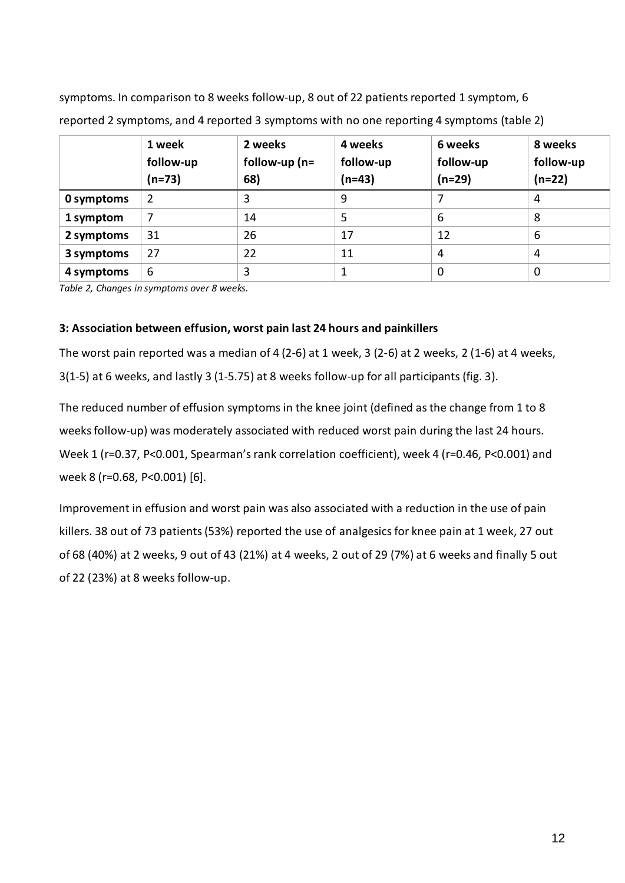symptoms. In comparison to 8 weeks follow-up, 8 out of 22 patients reported 1 symptom, 6 reported 2 symptoms, and 4 reported 3 symptoms with no one reporting 4 symptoms (table 2)

|            | 1 week<br>follow-up<br>$(n=73)$ | 2 weeks<br>follow-up $(n=$<br>68) | 4 weeks<br>follow-up<br>$(n=43)$ | 6 weeks<br>follow-up<br>$(n=29)$ | 8 weeks<br>follow-up<br>$(n=22)$ |
|------------|---------------------------------|-----------------------------------|----------------------------------|----------------------------------|----------------------------------|
| 0 symptoms | $\overline{2}$                  | 3                                 | 9                                |                                  | 4                                |
| 1 symptom  | 7                               | 14                                | 5                                | 6                                | 8                                |
| 2 symptoms | 31                              | 26                                | 17                               | 12                               | 6                                |
| 3 symptoms | 27                              | 22                                | 11                               | 4                                | 4                                |
| 4 symptoms | 6                               | 3                                 |                                  | $\mathbf 0$                      | 0                                |

*Table 2, Changes in symptoms over 8 weeks.*

# **3: Association between effusion, worst pain last 24 hours and painkillers**

The worst pain reported was a median of 4 (2-6) at 1 week, 3 (2-6) at 2 weeks, 2 (1-6) at 4 weeks, 3(1-5) at 6 weeks, and lastly 3 (1-5.75) at 8 weeks follow-up for all participants (fig. 3).

The reduced number of effusion symptoms in the knee joint (defined as the change from 1 to 8 weeks follow-up) was moderately associated with reduced worst pain during the last 24 hours. Week 1 (r=0.37, P<0.001, Spearman's rank correlation coefficient), week 4 (r=0.46, P<0.001) and week 8 (r=0.68, P<0.001) [6].

Improvement in effusion and worst pain was also associated with a reduction in the use of pain killers. 38 out of 73 patients (53%) reported the use of analgesics for knee pain at 1 week, 27 out of 68 (40%) at 2 weeks, 9 out of 43 (21%) at 4 weeks, 2 out of 29 (7%) at 6 weeks and finally 5 out of 22 (23%) at 8 weeks follow-up.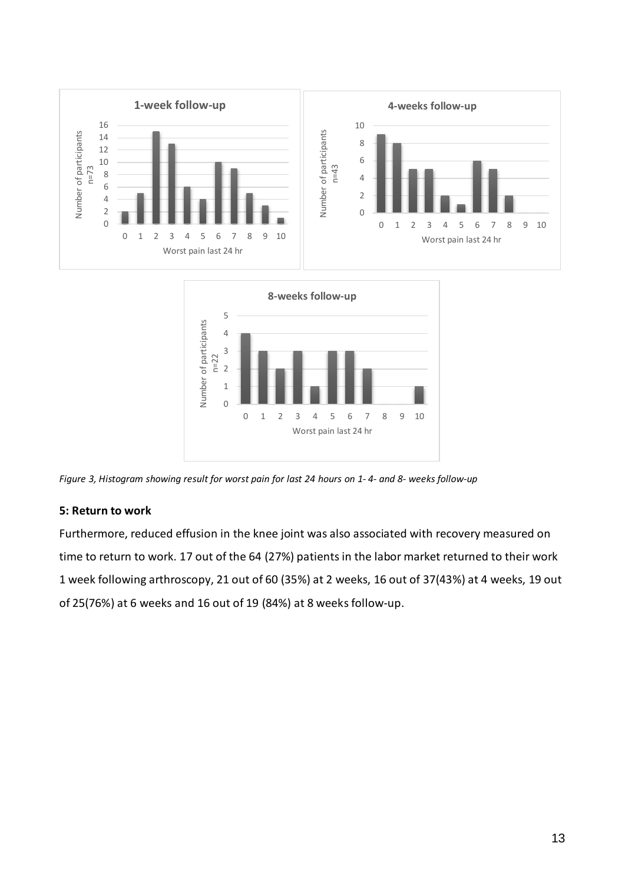



*Figure 3, Histogram showing result for worst pain for last 24 hours on 1- 4- and 8- weeks follow-up*

# **5: Return to work**

Furthermore, reduced effusion in the knee joint was also associated with recovery measured on time to return to work. 17 out of the 64 (27%) patients in the labor market returned to their work 1 week following arthroscopy, 21 out of 60 (35%) at 2 weeks, 16 out of 37(43%) at 4 weeks, 19 out of 25(76%) at 6 weeks and 16 out of 19 (84%) at 8 weeks follow-up.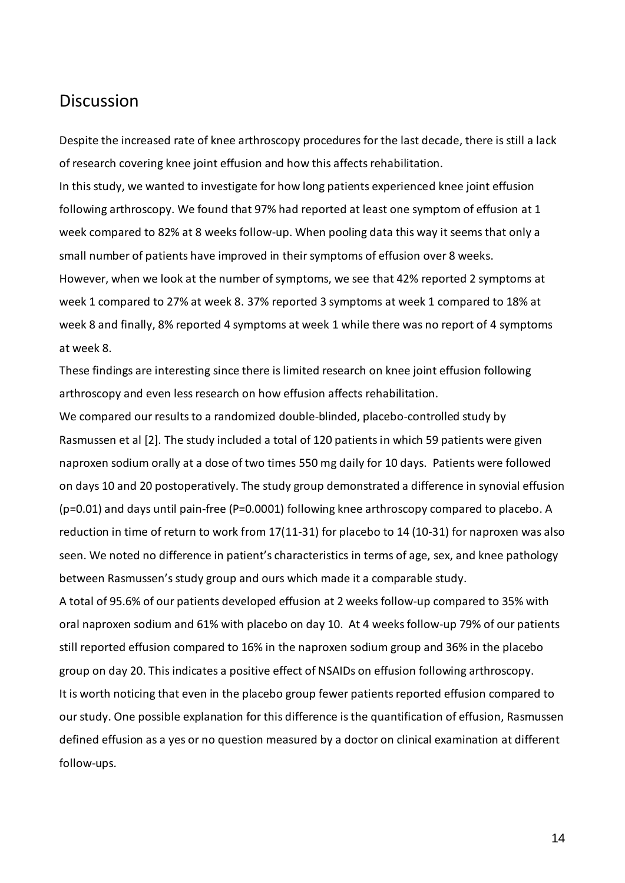# Discussion

Despite the increased rate of knee arthroscopy procedures for the last decade, there is still a lack of research covering knee joint effusion and how this affects rehabilitation.

In this study, we wanted to investigate for how long patients experienced knee joint effusion following arthroscopy. We found that 97% had reported at least one symptom of effusion at 1 week compared to 82% at 8 weeks follow-up. When pooling data this way it seems that only a small number of patients have improved in their symptoms of effusion over 8 weeks. However, when we look at the number of symptoms, we see that 42% reported 2 symptoms at week 1 compared to 27% at week 8. 37% reported 3 symptoms at week 1 compared to 18% at week 8 and finally, 8% reported 4 symptoms at week 1 while there was no report of 4 symptoms at week 8.

These findings are interesting since there is limited research on knee joint effusion following arthroscopy and even less research on how effusion affects rehabilitation.

We compared our results to a randomized double-blinded, placebo-controlled study by Rasmussen et al [2]. The study included a total of 120 patients in which 59 patients were given naproxen sodium orally at a dose of two times 550 mg daily for 10 days. Patients were followed on days 10 and 20 postoperatively. The study group demonstrated a difference in synovial effusion (p=0.01) and days until pain-free (P=0.0001) following knee arthroscopy compared to placebo. A reduction in time of return to work from 17(11-31) for placebo to 14 (10-31) for naproxen was also seen. We noted no difference in patient's characteristics in terms of age, sex, and knee pathology between Rasmussen's study group and ours which made it a comparable study.

A total of 95.6% of our patients developed effusion at 2 weeks follow-up compared to 35% with oral naproxen sodium and 61% with placebo on day 10. At 4 weeks follow-up 79% of our patients still reported effusion compared to 16% in the naproxen sodium group and 36% in the placebo group on day 20. This indicates a positive effect of NSAIDs on effusion following arthroscopy. It is worth noticing that even in the placebo group fewer patients reported effusion compared to our study. One possible explanation for this difference isthe quantification of effusion, Rasmussen defined effusion as a yes or no question measured by a doctor on clinical examination at different follow-ups.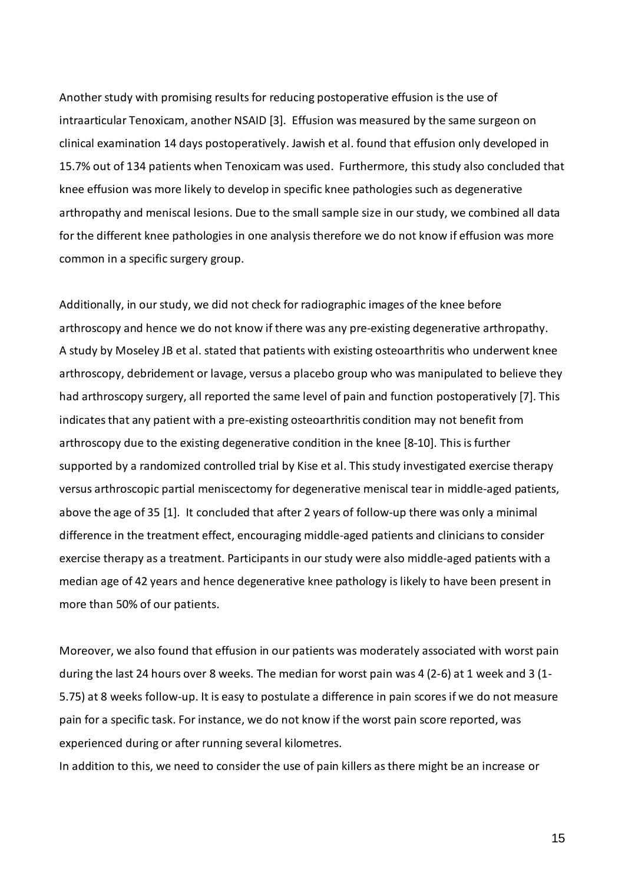Another study with promising results for reducing postoperative effusion is the use of intraarticular Tenoxicam, another NSAID [3]. Effusion was measured by the same surgeon on clinical examination 14 days postoperatively. Jawish et al. found that effusion only developed in 15.7% out of 134 patients when Tenoxicam was used. Furthermore, thisstudy also concluded that knee effusion was more likely to develop in specific knee pathologies such as degenerative arthropathy and meniscal lesions. Due to the small sample size in our study, we combined all data for the different knee pathologies in one analysis therefore we do not know if effusion was more common in a specific surgery group.

Additionally, in our study, we did not check for radiographic images of the knee before arthroscopy and hence we do not know if there was any pre-existing degenerative arthropathy. A study by Moseley JB et al. stated that patients with existing osteoarthritis who underwent knee arthroscopy, debridement or lavage, versus a placebo group who was manipulated to believe they had arthroscopy surgery, all reported the same level of pain and function postoperatively [7]. This indicates that any patient with a pre-existing osteoarthritis condition may not benefit from arthroscopy due to the existing degenerative condition in the knee [8-10]. This is further supported by a randomized controlled trial by Kise et al. This study investigated exercise therapy versus arthroscopic partial meniscectomy for degenerative meniscal tear in middle-aged patients, above the age of 35 [1]. It concluded that after 2 years of follow-up there was only a minimal difference in the treatment effect, encouraging middle-aged patients and clinicians to consider exercise therapy as a treatment. Participants in our study were also middle-aged patients with a median age of 42 years and hence degenerative knee pathology is likely to have been present in more than 50% of our patients.

Moreover, we also found that effusion in our patients was moderately associated with worst pain during the last 24 hours over 8 weeks. The median for worst pain was 4 (2-6) at 1 week and 3 (1- 5.75) at 8 weeks follow-up. It is easy to postulate a difference in pain scores if we do not measure pain for a specific task. For instance, we do not know if the worst pain score reported, was experienced during or after running several kilometres.

In addition to this, we need to consider the use of pain killers as there might be an increase or

15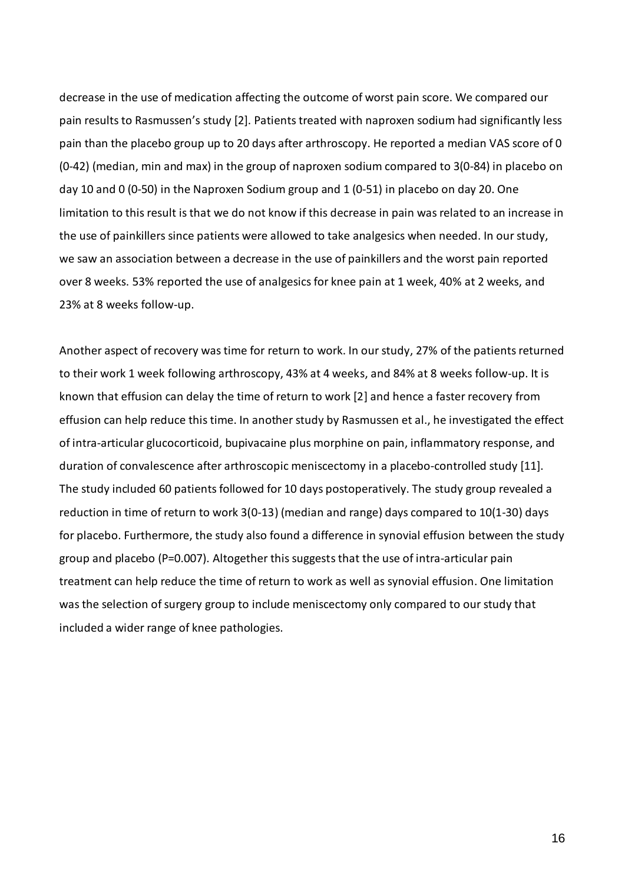decrease in the use of medication affecting the outcome of worst pain score. We compared our pain results to Rasmussen's study [2]. Patients treated with naproxen sodium had significantly less pain than the placebo group up to 20 days after arthroscopy. He reported a median VAS score of 0 (0-42) (median, min and max) in the group of naproxen sodium compared to 3(0-84) in placebo on day 10 and 0 (0-50) in the Naproxen Sodium group and 1 (0-51) in placebo on day 20. One limitation to this result is that we do not know if this decrease in pain was related to an increase in the use of painkillers since patients were allowed to take analgesics when needed. In our study, we saw an association between a decrease in the use of painkillers and the worst pain reported over 8 weeks. 53% reported the use of analgesics for knee pain at 1 week, 40% at 2 weeks, and 23% at 8 weeks follow-up.

Another aspect of recovery was time for return to work. In our study, 27% of the patients returned to their work 1 week following arthroscopy, 43% at 4 weeks, and 84% at 8 weeks follow-up. It is known that effusion can delay the time of return to work [2] and hence a faster recovery from effusion can help reduce this time. In another study by Rasmussen et al., he investigated the effect of intra-articular glucocorticoid, bupivacaine plus morphine on pain, inflammatory response, and duration of convalescence after arthroscopic meniscectomy in a placebo-controlled study [11]. The study included 60 patients followed for 10 days postoperatively. The study group revealed a reduction in time of return to work 3(0-13) (median and range) days compared to 10(1-30) days for placebo. Furthermore, the study also found a difference in synovial effusion between the study group and placebo (P=0.007). Altogether this suggests that the use of intra-articular pain treatment can help reduce the time of return to work as well as synovial effusion. One limitation was the selection of surgery group to include meniscectomy only compared to our study that included a wider range of knee pathologies.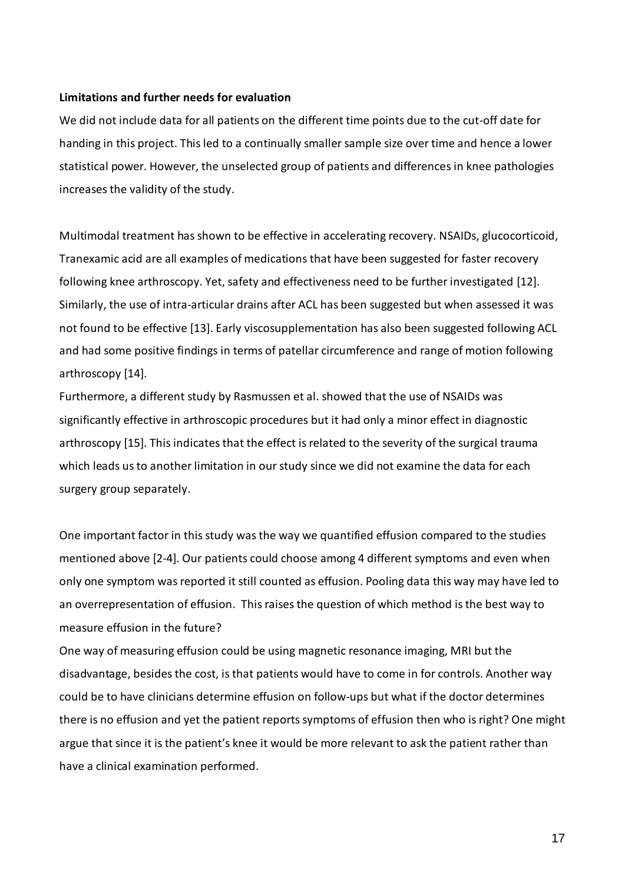#### **Limitations and further needs for evaluation**

We did not include data for all patients on the different time points due to the cut-off date for handing in this project. This led to a continually smaller sample size over time and hence a lower statistical power. However, the unselected group of patients and differencesin knee pathologies increases the validity of the study.

Multimodal treatment has shown to be effective in accelerating recovery. NSAIDs, glucocorticoid, Tranexamic acid are all examples of medicationsthat have been suggested for faster recovery following knee arthroscopy. Yet, safety and effectiveness need to be further investigated [12]. Similarly, the use of intra-articular drains after ACL has been suggested but when assessed it was not found to be effective [13]. Early viscosupplementation has also been suggested following ACL and had some positive findings in terms of patellar circumference and range of motion following arthroscopy [14].

Furthermore, a different study by Rasmussen et al. showed that the use of NSAIDs was significantly effective in arthroscopic procedures but it had only a minor effect in diagnostic arthroscopy [15]. This indicates that the effect is related to the severity of the surgical trauma which leads us to another limitation in our study since we did not examine the data for each surgery group separately.

One important factor in this study was the way we quantified effusion compared to the studies mentioned above [2-4]. Our patients could choose among 4 different symptoms and even when only one symptom was reported it still counted as effusion. Pooling data this way may have led to an overrepresentation of effusion. Thisraises the question of which method is the best way to measure effusion in the future?

One way of measuring effusion could be using magnetic resonance imaging, MRI but the disadvantage, besides the cost, isthat patients would have to come in for controls. Another way could be to have clinicians determine effusion on follow-ups but what if the doctor determines there is no effusion and yet the patient reports symptoms of effusion then who is right? One might argue that since it is the patient's knee it would be more relevant to ask the patient rather than have a clinical examination performed.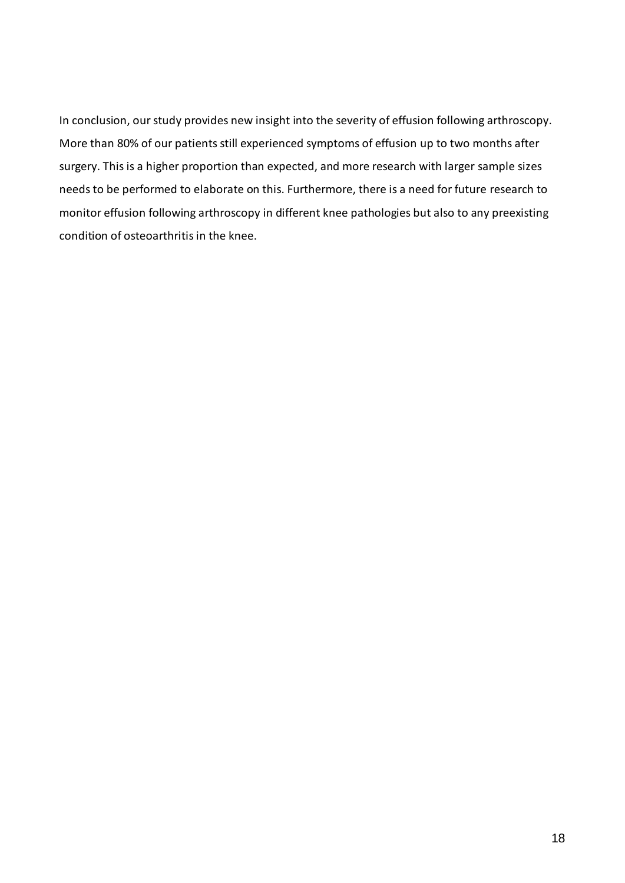In conclusion, our study provides new insight into the severity of effusion following arthroscopy. More than 80% of our patients still experienced symptoms of effusion up to two months after surgery. This is a higher proportion than expected, and more research with larger sample sizes needs to be performed to elaborate on this. Furthermore, there is a need for future research to monitor effusion following arthroscopy in different knee pathologies but also to any preexisting condition of osteoarthritis in the knee.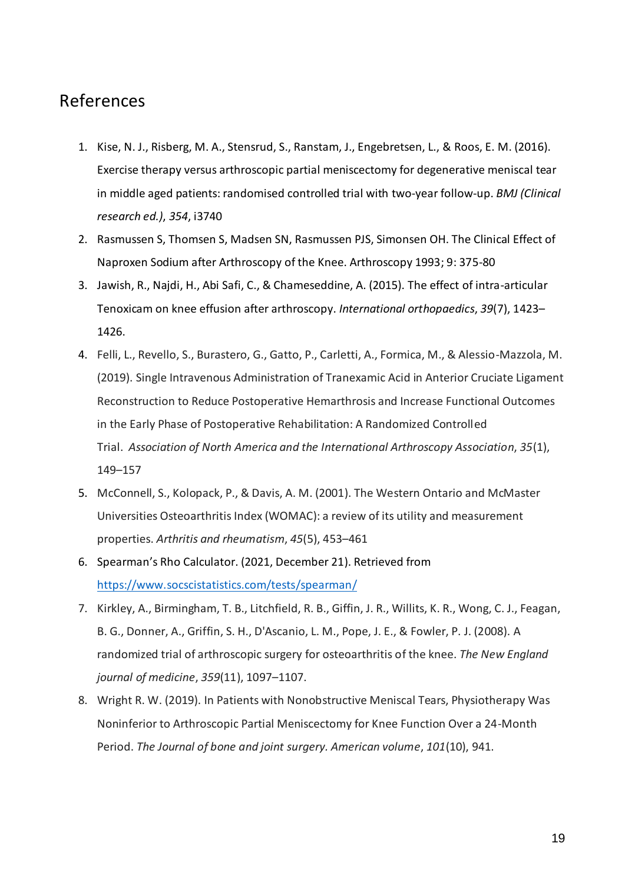# References

- 1. Kise, N. J., Risberg, M. A., Stensrud, S., Ranstam, J., Engebretsen, L., & Roos, E. M. (2016). Exercise therapy versus arthroscopic partial meniscectomy for degenerative meniscal tear in middle aged patients: randomised controlled trial with two-year follow-up. *BMJ (Clinical research ed.)*, *354*, i3740
- 2. Rasmussen S, Thomsen S, Madsen SN, Rasmussen PJS, Simonsen OH. The Clinical Effect of Naproxen Sodium after Arthroscopy of the Knee. Arthroscopy 1993; 9: 375-80
- 3. Jawish, R., Najdi, H., Abi Safi, C., & Chameseddine, A. (2015). The effect of intra-articular Tenoxicam on knee effusion after arthroscopy. *International orthopaedics*, *39*(7), 1423– 1426.
- 4. Felli, L., Revello, S., Burastero, G., Gatto, P., Carletti, A., Formica, M., & Alessio-Mazzola, M. (2019). Single Intravenous Administration of Tranexamic Acid in Anterior Cruciate Ligament Reconstruction to Reduce Postoperative Hemarthrosis and Increase Functional Outcomes in the Early Phase of Postoperative Rehabilitation: A Randomized Controlled Trial. *Association of North America and the International Arthroscopy Association*, *35*(1), 149–157
- 5. McConnell, S., Kolopack, P., & Davis, A. M. (2001). The Western Ontario and McMaster Universities Osteoarthritis Index (WOMAC): a review of its utility and measurement properties. *Arthritis and rheumatism*, *45*(5), 453–461
- 6. Spearman's Rho Calculator. (2021, December 21). Retrieved from <https://www.socscistatistics.com/tests/spearman/>
- 7. Kirkley, A., Birmingham, T. B., Litchfield, R. B., Giffin, J. R., Willits, K. R., Wong, C. J., Feagan, B. G., Donner, A., Griffin, S. H., D'Ascanio, L. M., Pope, J. E., & Fowler, P. J. (2008). A randomized trial of arthroscopic surgery for osteoarthritis of the knee. *The New England journal of medicine*, *359*(11), 1097–1107.
- 8. Wright R. W. (2019). In Patients with Nonobstructive Meniscal Tears, Physiotherapy Was Noninferior to Arthroscopic Partial Meniscectomy for Knee Function Over a 24-Month Period. *The Journal of bone and joint surgery. American volume*, *101*(10), 941.